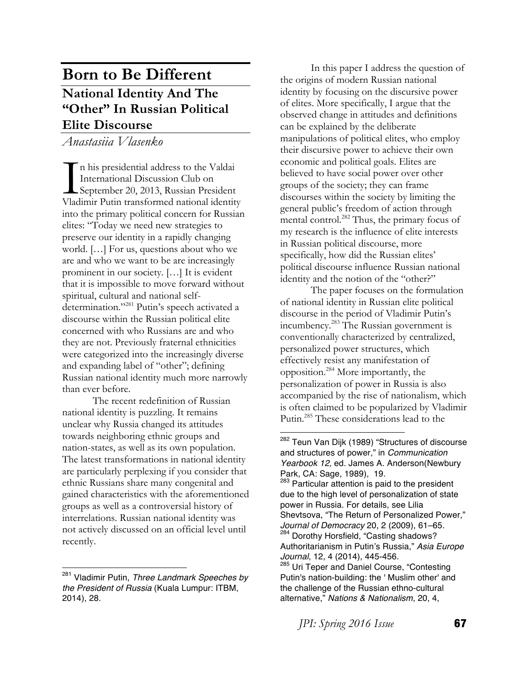# **Born to Be Different National Identity And The "Other" In Russian Political Elite Discourse**

*Anastasiia Vlasenko*

n his presidential address to the Valdai International Discussion Club on September 20, 2013, Russian President Vladimir Putin transformed national identity into the primary political concern for Russian elites: "Today we need new strategies to preserve our identity in a rapidly changing world. […] For us, questions about who we are and who we want to be are increasingly prominent in our society. […] It is evident that it is impossible to move forward without spiritual, cultural and national selfdetermination."<sup>281</sup> Putin's speech activated a discourse within the Russian political elite concerned with who Russians are and who they are not. Previously fraternal ethnicities were categorized into the increasingly diverse and expanding label of "other"; defining Russian national identity much more narrowly than ever before. I<br>Vlad

The recent redefinition of Russian national identity is puzzling. It remains unclear why Russia changed its attitudes towards neighboring ethnic groups and nation-states, as well as its own population. The latest transformations in national identity are particularly perplexing if you consider that ethnic Russians share many congenital and gained characteristics with the aforementioned groups as well as a controversial history of interrelations. Russian national identity was not actively discussed on an official level until recently.

In this paper I address the question of the origins of modern Russian national identity by focusing on the discursive power of elites. More specifically, I argue that the observed change in attitudes and definitions can be explained by the deliberate manipulations of political elites, who employ their discursive power to achieve their own economic and political goals. Elites are believed to have social power over other groups of the society; they can frame discourses within the society by limiting the general public's freedom of action through mental control.<sup>282</sup> Thus, the primary focus of my research is the influence of elite interests in Russian political discourse, more specifically, how did the Russian elites' political discourse influence Russian national identity and the notion of the "other?"

The paper focuses on the formulation of national identity in Russian elite political discourse in the period of Vladimir Putin's incumbency.283 The Russian government is conventionally characterized by centralized, personalized power structures, which effectively resist any manifestation of opposition.284 More importantly, the personalization of power in Russia is also accompanied by the rise of nationalism, which is often claimed to be popularized by Vladimir Putin.285 These considerations lead to the

 

<sup>283</sup> Particular attention is paid to the president due to the high level of personalization of state power in Russia. For details, see Lilia Shevtsova, "The Return of Personalized Power," *Journal of Democracy* 20, 2 (2009), 61–65. <sup>284</sup> Dorothy Horsfield, "Casting shadows? Authoritarianism in Putin's Russia," *Asia Europe Journal*, 12, 4 (2014), 445-456. <sup>285</sup> Uri Teper and Daniel Course, "Contesting

*JPI: Spring 2016 Issue* **67** 

 <sup>281</sup> Vladimir Putin, *Three Landmark Speeches by the President of Russia* (Kuala Lumpur: ITBM, 2014), 28.

<sup>&</sup>lt;sup>282</sup> Teun Van Dijk (1989) "Structures of discourse and structures of power," in *Communication Yearbook 12,* ed. James A. Anderson(Newbury Park, CA: Sage, 1989), 19.

Putin's nation-building: the ' Muslim other' and the challenge of the Russian ethno-cultural alternative," *Nations & Nationalism*, 20, 4,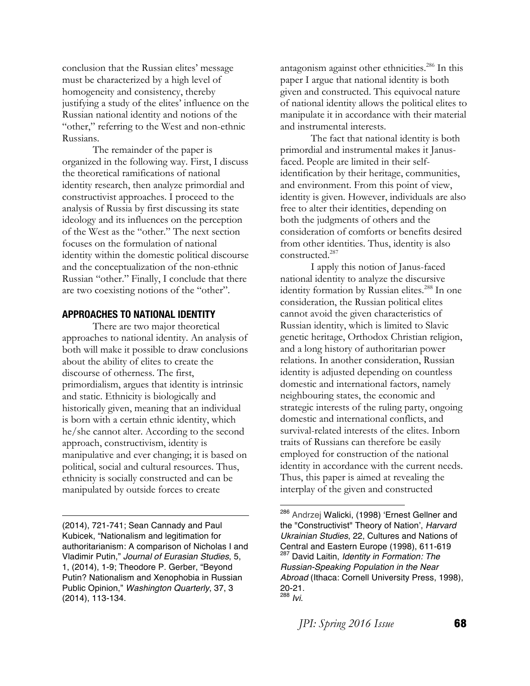conclusion that the Russian elites' message must be characterized by a high level of homogeneity and consistency, thereby justifying a study of the elites' influence on the Russian national identity and notions of the "other," referring to the West and non-ethnic Russians.

The remainder of the paper is organized in the following way. First, I discuss the theoretical ramifications of national identity research, then analyze primordial and constructivist approaches. I proceed to the analysis of Russia by first discussing its state ideology and its influences on the perception of the West as the "other." The next section focuses on the formulation of national identity within the domestic political discourse and the conceptualization of the non-ethnic Russian "other." Finally, I conclude that there are two coexisting notions of the "other".

#### **APPROACHES TO NATIONAL IDENTITY**

There are two major theoretical approaches to national identity. An analysis of both will make it possible to draw conclusions about the ability of elites to create the discourse of otherness. The first, primordialism, argues that identity is intrinsic and static. Ethnicity is biologically and historically given, meaning that an individual is born with a certain ethnic identity, which he/she cannot alter. According to the second approach, constructivism, identity is manipulative and ever changing; it is based on political, social and cultural resources. Thus, ethnicity is socially constructed and can be manipulated by outside forces to create

(2014), 721-741; Sean Cannady and Paul Kubicek, "Nationalism and legitimation for authoritarianism: A comparison of Nicholas I and Vladimir Putin," *Journal of Eurasian Studies*, 5, 1, (2014), 1-9; Theodore P. Gerber, "Beyond Putin? Nationalism and Xenophobia in Russian Public Opinion," *Washington Quarterly*, 37, 3 (2014), 113-134.

<u> 1989 - Johann Barn, mars eta bainar eta bainar eta baina eta baina eta baina eta baina eta baina eta baina e</u>

antagonism against other ethnicities.<sup>286</sup> In this paper I argue that national identity is both given and constructed. This equivocal nature of national identity allows the political elites to manipulate it in accordance with their material and instrumental interests.

The fact that national identity is both primordial and instrumental makes it Janusfaced. People are limited in their selfidentification by their heritage, communities, and environment. From this point of view, identity is given. However, individuals are also free to alter their identities, depending on both the judgments of others and the consideration of comforts or benefits desired from other identities. Thus, identity is also constructed.<sup>287</sup>

I apply this notion of Janus-faced national identity to analyze the discursive identity formation by Russian elites.<sup>288</sup> In one consideration, the Russian political elites cannot avoid the given characteristics of Russian identity, which is limited to Slavic genetic heritage, Orthodox Christian religion, and a long history of authoritarian power relations. In another consideration, Russian identity is adjusted depending on countless domestic and international factors, namely neighbouring states, the economic and strategic interests of the ruling party, ongoing domestic and international conflicts, and survival-related interests of the elites. Inborn traits of Russians can therefore be easily employed for construction of the national identity in accordance with the current needs. Thus, this paper is aimed at revealing the interplay of the given and constructed

<sup>&</sup>lt;sup>286</sup> Andrzej Walicki, (1998) 'Ernest Gellner and the "Constructivist" Theory of Nation', *Harvard Ukrainian Studies*, 22, Cultures and Nations of Central and Eastern Europe (1998), 611-619 <sup>287</sup> David Laitin, *Identity in Formation: The Russian-Speaking Population in the Near Abroad* (Ithaca: Cornell University Press, 1998), 20-21. 288 *Ivi*.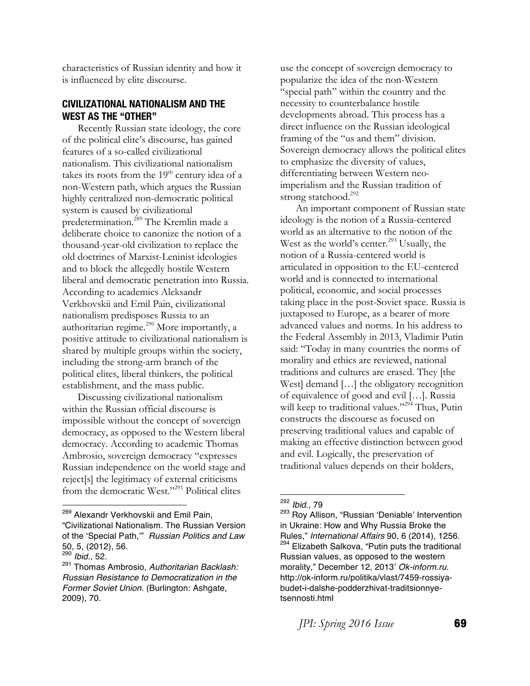characteristics of Russian identity and how it is influenced by elite discourse.

### **CIVILIZATIONAL NATIONALISM AND THE WEST AS THE "OTHER"**

Recently Russian state ideology, the core of the political elite's discourse, has gained features of a so-called civilizational nationalism. This civilizational nationalism takes its roots from the  $19<sup>th</sup>$  century idea of a non-Western path, which argues the Russian highly centralized non-democratic political system is caused by civilizational predetermination.289 The Kremlin made a deliberate choice to canonize the notion of a thousand-year-old civilization to replace the old doctrines of Marxist-Leninist ideologies and to block the allegedly hostile Western liberal and democratic penetration into Russia. According to academics Aleksandr Verkhovskii and Emil Pain, civilizational nationalism predisposes Russia to an authoritarian regime.<sup>290</sup> More importantly, a positive attitude to civilizational nationalism is shared by multiple groups within the society, including the strong-arm branch of the political elites, liberal thinkers, the political establishment, and the mass public.

Discussing civilizational nationalism within the Russian official discourse is impossible without the concept of sovereign democracy, as opposed to the Western liberal democracy. According to academic Thomas Ambrosio, sovereign democracy "expresses Russian independence on the world stage and reject[s] the legitimacy of external criticisms from the democratic West."291 Political elites

<sup>289</sup> Alexandr Verkhovskii and Emil Pain,

 

"Civilizational Nationalism. The Russian Version of the 'Special Path,'" *Russian Politics and Law* 50, 5, (2012), 56.

use the concept of sovereign democracy to popularize the idea of the non-Western "special path" within the country and the necessity to counterbalance hostile developments abroad. This process has a direct influence on the Russian ideological framing of the "us and them" division. Sovereign democracy allows the political elites to emphasize the diversity of values, differentiating between Western neoimperialism and the Russian tradition of strong statehood.<sup>292</sup>

An important component of Russian state ideology is the notion of a Russia-centered world as an alternative to the notion of the West as the world's center.<sup>293</sup> Usually, the notion of a Russia-centered world is articulated in opposition to the EU-centered world and is connected to international political, economic, and social processes taking place in the post-Soviet space. Russia is juxtaposed to Europe, as a bearer of more advanced values and norms. In his address to the Federal Assembly in 2013, Vladimir Putin said: "Today in many countries the norms of morality and ethics are reviewed, national traditions and cultures are erased. They [the West] demand [...] the obligatory recognition of equivalence of good and evil […]. Russia will keep to traditional values."<sup>294</sup> Thus, Putin constructs the discourse as focused on preserving traditional values and capable of making an effective distinction between good and evil. Logically, the preservation of traditional values depends on their holders,

<sup>290</sup> *Ibid.,* 52.

<sup>291</sup> Thomas Ambrosio, *Authoritarian Backlash: Russian Resistance to Democratization in the Former Soviet Union.* (Burlington: Ashgate, 2009), 70.

<sup>292</sup> *Ibid*., 79

<sup>293</sup> Roy Allison, "Russian 'Deniable' Intervention in Ukraine: How and Why Russia Broke the Rules," *International Affairs* 90, 6 (2014), 1256. Elizabeth Salkova, "Putin puts the traditional Russian values, as opposed to the western morality," December 12, 2013' *Ok-inform.ru.* http://ok-inform.ru/politika/vlast/7459-rossiyabudet-i-dalshe-podderzhivat-traditsionnyetsennosti.html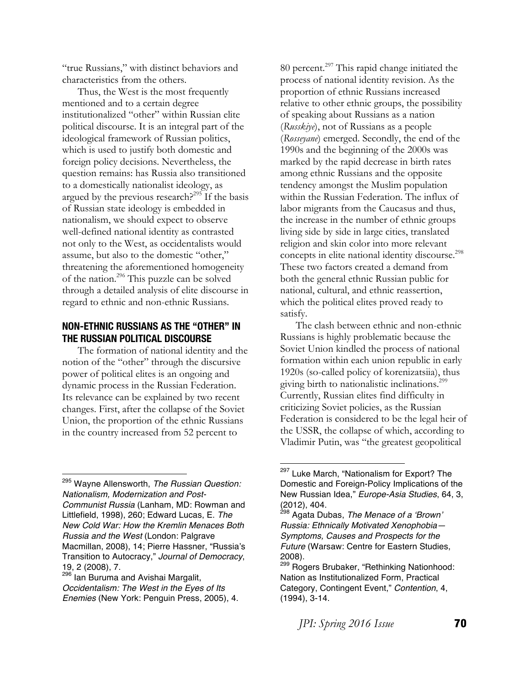"true Russians," with distinct behaviors and characteristics from the others.

Thus, the West is the most frequently mentioned and to a certain degree institutionalized "other" within Russian elite political discourse. It is an integral part of the ideological framework of Russian politics, which is used to justify both domestic and foreign policy decisions. Nevertheless, the question remains: has Russia also transitioned to a domestically nationalist ideology, as argued by the previous research?<sup>295</sup> If the basis of Russian state ideology is embedded in nationalism, we should expect to observe well-defined national identity as contrasted not only to the West, as occidentalists would assume, but also to the domestic "other," threatening the aforementioned homogeneity of the nation.296 This puzzle can be solved through a detailed analysis of elite discourse in regard to ethnic and non-ethnic Russians.

## **NON-ETHNIC RUSSIANS AS THE "OTHER" IN THE RUSSIAN POLITICAL DISCOURSE**

The formation of national identity and the notion of the "other" through the discursive power of political elites is an ongoing and dynamic process in the Russian Federation. Its relevance can be explained by two recent changes. First, after the collapse of the Soviet Union, the proportion of the ethnic Russians in the country increased from 52 percent to

 

80 percent.<sup>297</sup> This rapid change initiated the process of national identity revision. As the proportion of ethnic Russians increased relative to other ethnic groups, the possibility of speaking about Russians as a nation (*Russkiye*), not of Russians as a people (*Rosseyane*) emerged. Secondly, the end of the 1990s and the beginning of the 2000s was marked by the rapid decrease in birth rates among ethnic Russians and the opposite tendency amongst the Muslim population within the Russian Federation. The influx of labor migrants from the Caucasus and thus, the increase in the number of ethnic groups living side by side in large cities, translated religion and skin color into more relevant concepts in elite national identity discourse.<sup>298</sup> These two factors created a demand from both the general ethnic Russian public for national, cultural, and ethnic reassertion, which the political elites proved ready to satisfy.

The clash between ethnic and non-ethnic Russians is highly problematic because the Soviet Union kindled the process of national formation within each union republic in early 1920s (so-called policy of korenizatsiia), thus giving birth to nationalistic inclinations.<sup>299</sup> Currently, Russian elites find difficulty in criticizing Soviet policies, as the Russian Federation is considered to be the legal heir of the USSR, the collapse of which, according to Vladimir Putin, was "the greatest geopolitical

<sup>295</sup> Wayne Allensworth, *The Russian Question: Nationalism, Modernization and Post-Communist Russia* (Lanham, MD: Rowman and Littlefield, 1998), 260; Edward Lucas, E. *The New Cold War: How the Kremlin Menaces Both Russia and the West* (London: Palgrave Macmillan, 2008), 14; Pierre Hassner, "Russia's Transition to Autocracy," *Journal of Democracy*, 19, 2 (2008), 7.

<sup>&</sup>lt;sup>296</sup> Ian Buruma and Avishai Margalit,

*Occidentalism: The West in the Eyes of Its Enemies* (New York: Penguin Press, 2005), 4.

<sup>&</sup>lt;sup>297</sup> Luke March, "Nationalism for Export? The Domestic and Foreign-Policy Implications of the New Russian Idea," *Europe-Asia Studies*, 64, 3, (2012), 404.

<sup>298</sup> Agata Dubas, *The Menace of a 'Brown' Russia: Ethnically Motivated Xenophobia— Symptoms, Causes and Prospects for the Future* (Warsaw: Centre for Eastern Studies, 2008).

Rogers Brubaker, "Rethinking Nationhood: Nation as Institutionalized Form, Practical Category, Contingent Event," *Contention*, 4, (1994), 3-14.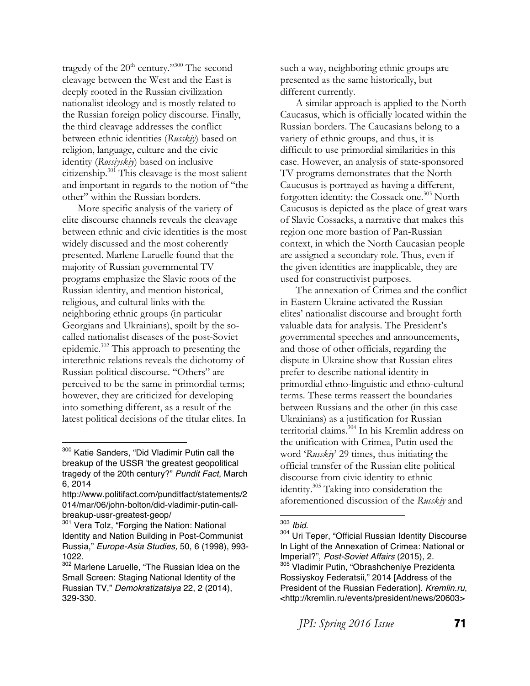tragedy of the 20<sup>th</sup> century."<sup>300</sup> The second cleavage between the West and the East is deeply rooted in the Russian civilization nationalist ideology and is mostly related to the Russian foreign policy discourse. Finally, the third cleavage addresses the conflict between ethnic identities (*Russkiy*) based on religion, language, culture and the civic identity (*Rossiyskiy*) based on inclusive citizenship.<sup>301</sup> This cleavage is the most salient and important in regards to the notion of "the other" within the Russian borders.

More specific analysis of the variety of elite discourse channels reveals the cleavage between ethnic and civic identities is the most widely discussed and the most coherently presented. Marlene Laruelle found that the majority of Russian governmental TV programs emphasize the Slavic roots of the Russian identity, and mention historical, religious, and cultural links with the neighboring ethnic groups (in particular Georgians and Ukrainians), spoilt by the socalled nationalist diseases of the post-Soviet epidemic.302 This approach to presenting the interethnic relations reveals the dichotomy of Russian political discourse. "Others" are perceived to be the same in primordial terms; however, they are criticized for developing into something different, as a result of the latest political decisions of the titular elites. In

 

such a way, neighboring ethnic groups are presented as the same historically, but different currently.

A similar approach is applied to the North Caucasus, which is officially located within the Russian borders. The Caucasians belong to a variety of ethnic groups, and thus, it is difficult to use primordial similarities in this case. However, an analysis of state-sponsored TV programs demonstrates that the North Caucusus is portrayed as having a different, forgotten identity: the Cossack one.<sup>303</sup> North Caucusus is depicted as the place of great wars of Slavic Cossacks, a narrative that makes this region one more bastion of Pan-Russian context, in which the North Caucasian people are assigned a secondary role. Thus, even if the given identities are inapplicable, they are used for constructivist purposes.

The annexation of Crimea and the conflict in Eastern Ukraine activated the Russian elites' nationalist discourse and brought forth valuable data for analysis. The President's governmental speeches and announcements, and those of other officials, regarding the dispute in Ukraine show that Russian elites prefer to describe national identity in primordial ethno-linguistic and ethno-cultural terms. These terms reassert the boundaries between Russians and the other (in this case Ukrainians) as a justification for Russian territorial claims.304 In his Kremlin address on the unification with Crimea, Putin used the word '*Russkiy*' 29 times, thus initiating the official transfer of the Russian elite political discourse from civic identity to ethnic identity.305 Taking into consideration the aforementioned discussion of the *Russkiy* and

*JPI: Spring 2016 Issue* **71** 

<sup>&</sup>lt;sup>300</sup> Katie Sanders, "Did Vladimir Putin call the breakup of the USSR 'the greatest geopolitical tragedy of the 20th century?" *Pundit Fact*, March 6, 2014

http://www.politifact.com/punditfact/statements/2 014/mar/06/john-bolton/did-vladimir-putin-callbreakup-ussr-greatest-geop/

<sup>301</sup> Vera Tolz, "Forging the Nation: National Identity and Nation Building in Post-Communist Russia," *Europe-Asia Studies,* 50, 6 (1998), 993- 1022.

<sup>302</sup> Marlene Laruelle, "The Russian Idea on the Small Screen: Staging National Identity of the Russian TV," *Demokratizatsiya* 22, 2 (2014), 329-330.

<sup>&</sup>lt;sup>303</sup> *Ibid.*<br><sup>304</sup> Uri Teper, "Official Russian Identity Discourse In Light of the Annexation of Crimea: National or Imperial?", *Post-Soviet Affairs* (2015), 2. <sup>305</sup> Vladimir Putin, "Obrashcheniye Prezidenta Rossiyskoy Federatsii," 2014 [Address of the President of the Russian Federation]. *Kremlin.ru*, <http://kremlin.ru/events/president/news/20603>